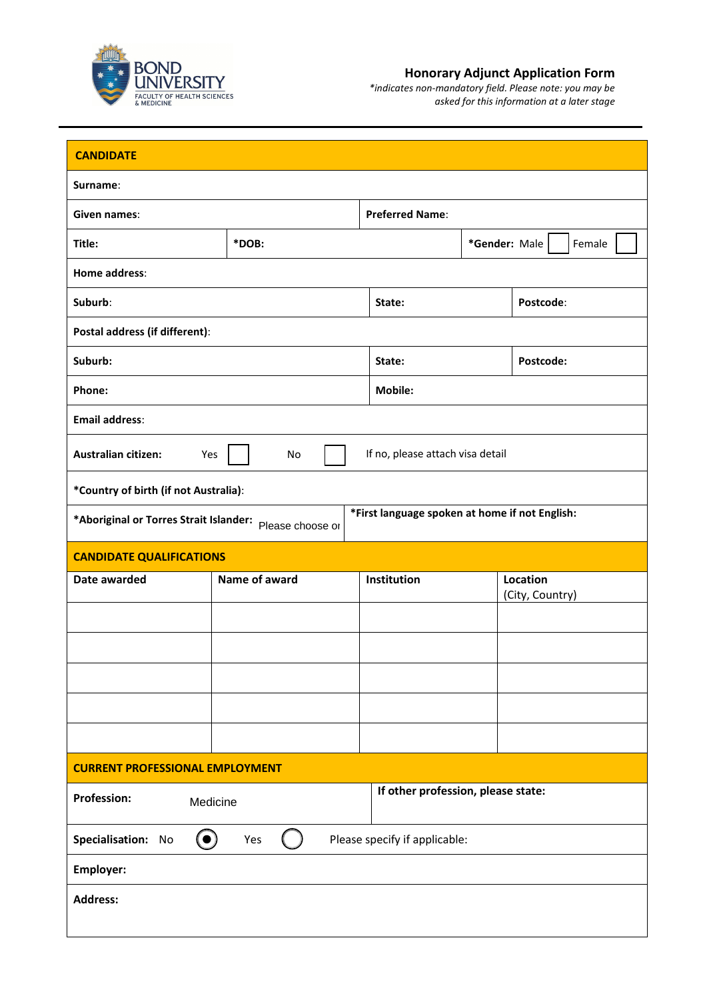

## **Honorary Adjunct Application Form**

*\*indicates non-mandatory field. Please note: you may be asked for this information at a later stage*

| <b>CANDIDATE</b>                                                      |               |                                                |                             |           |  |  |
|-----------------------------------------------------------------------|---------------|------------------------------------------------|-----------------------------|-----------|--|--|
| Surname:                                                              |               |                                                |                             |           |  |  |
| Given names:                                                          |               | <b>Preferred Name:</b>                         |                             |           |  |  |
| Title:                                                                | *DOB:         |                                                | *Gender: Male               | Female    |  |  |
| Home address:                                                         |               |                                                |                             |           |  |  |
| Suburb:                                                               |               | Postcode:<br>State:                            |                             |           |  |  |
| Postal address (if different):                                        |               |                                                |                             |           |  |  |
| Suburb:                                                               |               | State:                                         |                             | Postcode: |  |  |
| Phone:                                                                |               | Mobile:                                        |                             |           |  |  |
| <b>Email address:</b>                                                 |               |                                                |                             |           |  |  |
| <b>Australian citizen:</b><br>Yes                                     | No            | If no, please attach visa detail               |                             |           |  |  |
| *Country of birth (if not Australia):                                 |               |                                                |                             |           |  |  |
| *Aboriginal or Torres Strait Islander: Please choose or               |               | *First language spoken at home if not English: |                             |           |  |  |
| <b>CANDIDATE QUALIFICATIONS</b>                                       |               |                                                |                             |           |  |  |
| Date awarded                                                          | Name of award | Institution                                    | Location<br>(City, Country) |           |  |  |
|                                                                       |               |                                                |                             |           |  |  |
|                                                                       |               |                                                |                             |           |  |  |
|                                                                       |               |                                                |                             |           |  |  |
|                                                                       |               |                                                |                             |           |  |  |
|                                                                       |               |                                                |                             |           |  |  |
| <b>CURRENT PROFESSIONAL EMPLOYMENT</b>                                |               |                                                |                             |           |  |  |
| If other profession, please state:<br><b>Profession:</b><br>Medicine  |               |                                                |                             |           |  |  |
| $\odot$<br>Please specify if applicable:<br>Specialisation: No<br>Yes |               |                                                |                             |           |  |  |
| Employer:                                                             |               |                                                |                             |           |  |  |
| <b>Address:</b>                                                       |               |                                                |                             |           |  |  |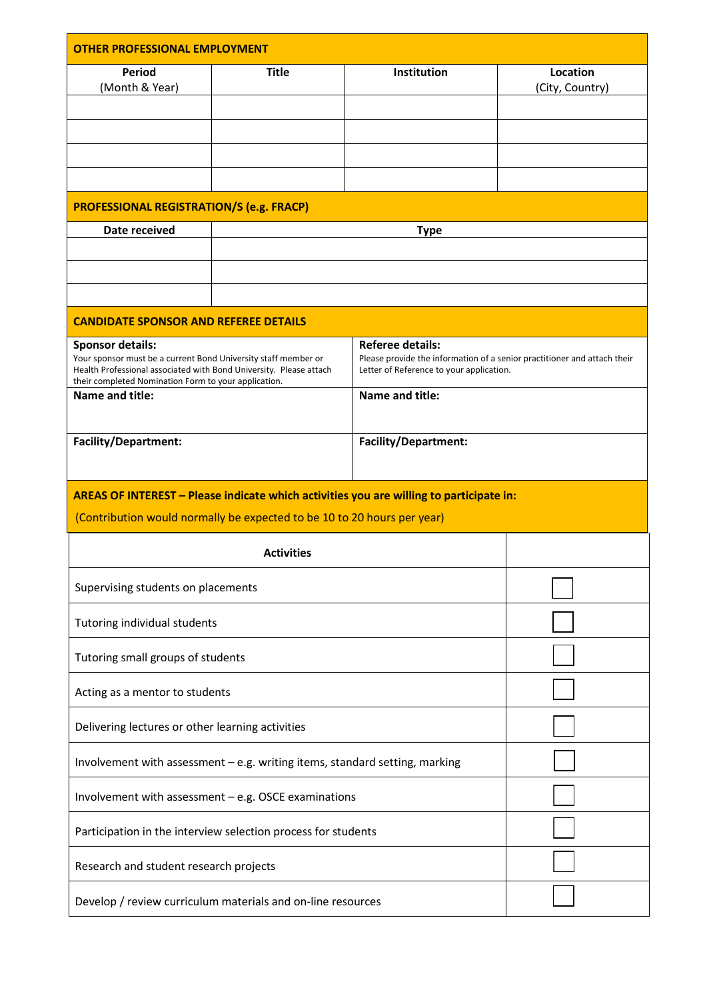| <b>OTHER PROFESSIONAL EMPLOYMENT</b>                                                                                                                            |                                                                         |                                                                                                                                                 |                             |  |  |  |  |
|-----------------------------------------------------------------------------------------------------------------------------------------------------------------|-------------------------------------------------------------------------|-------------------------------------------------------------------------------------------------------------------------------------------------|-----------------------------|--|--|--|--|
| <b>Period</b><br>(Month & Year)                                                                                                                                 | <b>Title</b>                                                            | Institution                                                                                                                                     | Location<br>(City, Country) |  |  |  |  |
|                                                                                                                                                                 |                                                                         |                                                                                                                                                 |                             |  |  |  |  |
|                                                                                                                                                                 |                                                                         |                                                                                                                                                 |                             |  |  |  |  |
|                                                                                                                                                                 |                                                                         |                                                                                                                                                 |                             |  |  |  |  |
|                                                                                                                                                                 | <b>PROFESSIONAL REGISTRATION/S (e.g. FRACP)</b>                         |                                                                                                                                                 |                             |  |  |  |  |
| Date received                                                                                                                                                   | <b>Type</b>                                                             |                                                                                                                                                 |                             |  |  |  |  |
|                                                                                                                                                                 |                                                                         |                                                                                                                                                 |                             |  |  |  |  |
|                                                                                                                                                                 |                                                                         |                                                                                                                                                 |                             |  |  |  |  |
| <b>CANDIDATE SPONSOR AND REFEREE DETAILS</b>                                                                                                                    |                                                                         |                                                                                                                                                 |                             |  |  |  |  |
| <b>Sponsor details:</b><br>Your sponsor must be a current Bond University staff member or<br>Health Professional associated with Bond University. Please attach |                                                                         | <b>Referee details:</b><br>Please provide the information of a senior practitioner and attach their<br>Letter of Reference to your application. |                             |  |  |  |  |
| Name and title:                                                                                                                                                 | their completed Nomination Form to your application.<br>Name and title: |                                                                                                                                                 |                             |  |  |  |  |
| <b>Facility/Department:</b>                                                                                                                                     |                                                                         | <b>Facility/Department:</b>                                                                                                                     |                             |  |  |  |  |
| AREAS OF INTEREST - Please indicate which activities you are willing to participate in:                                                                         |                                                                         |                                                                                                                                                 |                             |  |  |  |  |
| (Contribution would normally be expected to be 10 to 20 hours per year)                                                                                         |                                                                         |                                                                                                                                                 |                             |  |  |  |  |
| <b>Activities</b>                                                                                                                                               |                                                                         |                                                                                                                                                 |                             |  |  |  |  |
| Supervising students on placements                                                                                                                              |                                                                         |                                                                                                                                                 |                             |  |  |  |  |
| Tutoring individual students                                                                                                                                    |                                                                         |                                                                                                                                                 |                             |  |  |  |  |
| Tutoring small groups of students                                                                                                                               |                                                                         |                                                                                                                                                 |                             |  |  |  |  |
| Acting as a mentor to students                                                                                                                                  |                                                                         |                                                                                                                                                 |                             |  |  |  |  |
| Delivering lectures or other learning activities                                                                                                                |                                                                         |                                                                                                                                                 |                             |  |  |  |  |
| Involvement with assessment - e.g. writing items, standard setting, marking                                                                                     |                                                                         |                                                                                                                                                 |                             |  |  |  |  |
| Involvement with assessment - e.g. OSCE examinations                                                                                                            |                                                                         |                                                                                                                                                 |                             |  |  |  |  |
| Participation in the interview selection process for students                                                                                                   |                                                                         |                                                                                                                                                 |                             |  |  |  |  |
| Research and student research projects                                                                                                                          |                                                                         |                                                                                                                                                 |                             |  |  |  |  |
| Develop / review curriculum materials and on-line resources                                                                                                     |                                                                         |                                                                                                                                                 |                             |  |  |  |  |